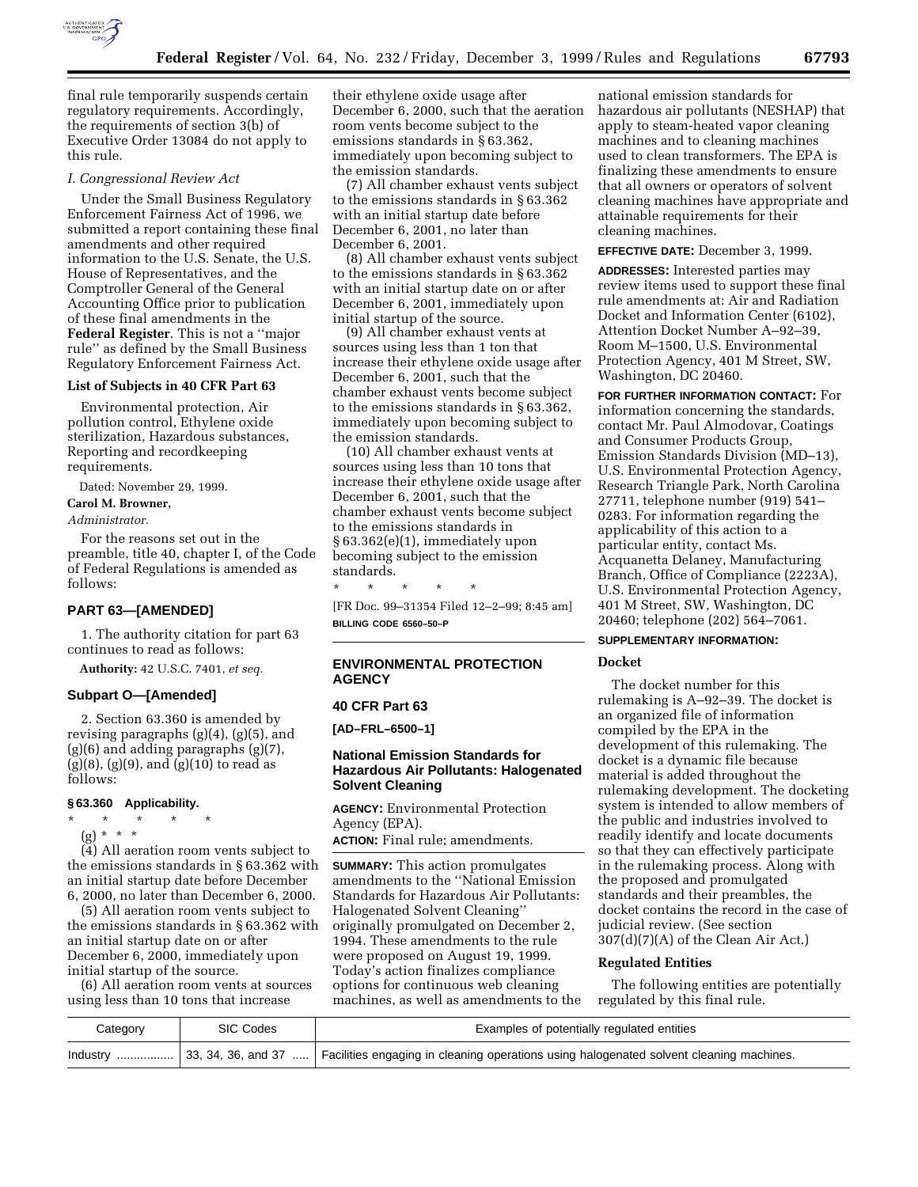

final rule temporarily suspends certain regulatory requirements. Accordingly, the requirements of section 3(b) of Executive Order 13084 do not apply to this rule.

#### *I. Congressional Review Act*

Under the Small Business Regulatory Enforcement Fairness Act of 1996, we submitted a report containing these final amendments and other required information to the U.S. Senate, the U.S. House of Representatives, and the Comptroller General of the General Accounting Office prior to publication of these final amendments in the **Federal Register**. This is not a ''major rule'' as defined by the Small Business Regulatory Enforcement Fairness Act.

#### **List of Subjects in 40 CFR Part 63**

Environmental protection, Air pollution control, Ethylene oxide sterilization, Hazardous substances, Reporting and recordkeeping requirements.

Dated: November 29, 1999.

#### **Carol M. Browner,**

*Administrator.*

For the reasons set out in the preamble, title 40, chapter I, of the Code of Federal Regulations is amended as follows:

# **PART 63—[AMENDED]**

1. The authority citation for part 63 continues to read as follows:

**Authority:** 42 U.S.C. 7401, *et seq.*

# **Subpart O—[Amended]**

2. Section 63.360 is amended by revising paragraphs (g)(4), (g)(5), and (g)(6) and adding paragraphs (g)(7),  $(g)(8)$ ,  $(g)(9)$ , and  $(g)(10)$  to read as follows:

#### **§ 63.360 Applicability.**

\* \* \* \* \* (g) \* \* \*

(4) All aeration room vents subject to the emissions standards in § 63.362 with an initial startup date before December 6, 2000, no later than December 6, 2000.

(5) All aeration room vents subject to the emissions standards in § 63.362 with an initial startup date on or after December 6, 2000, immediately upon initial startup of the source.

(6) All aeration room vents at sources using less than 10 tons that increase

their ethylene oxide usage after December 6, 2000, such that the aeration room vents become subject to the emissions standards in § 63.362, immediately upon becoming subject to the emission standards.

(7) All chamber exhaust vents subject to the emissions standards in § 63.362 with an initial startup date before December 6, 2001, no later than December 6, 2001.

(8) All chamber exhaust vents subject to the emissions standards in § 63.362 with an initial startup date on or after December 6, 2001, immediately upon initial startup of the source.

(9) All chamber exhaust vents at sources using less than 1 ton that increase their ethylene oxide usage after December 6, 2001, such that the chamber exhaust vents become subject to the emissions standards in § 63.362, immediately upon becoming subject to the emission standards.

(10) All chamber exhaust vents at sources using less than 10 tons that increase their ethylene oxide usage after December 6, 2001, such that the chamber exhaust vents become subject to the emissions standards in § 63.362(e)(1), immediately upon becoming subject to the emission standards.

\* \* \* \* \* [FR Doc. 99–31354 Filed 12–2–99; 8:45 am] **BILLING CODE 6560–50–P**

# **ENVIRONMENTAL PROTECTION AGENCY**

#### **40 CFR Part 63**

**[AD–FRL–6500–1]**

# **National Emission Standards for Hazardous Air Pollutants: Halogenated Solvent Cleaning**

**AGENCY:** Environmental Protection Agency (EPA).

**ACTION:** Final rule; amendments.

**SUMMARY:** This action promulgates amendments to the ''National Emission Standards for Hazardous Air Pollutants: Halogenated Solvent Cleaning'' originally promulgated on December 2, 1994. These amendments to the rule were proposed on August 19, 1999. Today's action finalizes compliance options for continuous web cleaning machines, as well as amendments to the

national emission standards for hazardous air pollutants (NESHAP) that apply to steam-heated vapor cleaning machines and to cleaning machines used to clean transformers. The EPA is finalizing these amendments to ensure that all owners or operators of solvent cleaning machines have appropriate and attainable requirements for their cleaning machines.

# **EFFECTIVE DATE:** December 3, 1999.

**ADDRESSES:** Interested parties may review items used to support these final rule amendments at: Air and Radiation Docket and Information Center (6102), Attention Docket Number A–92–39, Room M–1500, U.S. Environmental Protection Agency, 401 M Street, SW, Washington, DC 20460.

**FOR FURTHER INFORMATION CONTACT:** For information concerning the standards, mormation concerning the standards,<br>contact Mr. Paul Almodovar, Coatings and Consumer Products Group, Emission Standards Division (MD–13), U.S. Environmental Protection Agency, Research Triangle Park, North Carolina 27711, telephone number (919) 541– 0283. For information regarding the applicability of this action to a particular entity, contact Ms. Acquanetta Delaney, Manufacturing Branch, Office of Compliance (2223A), U.S. Environmental Protection Agency, 401 M Street, SW, Washington, DC 20460; telephone (202) 564–7061.

# **SUPPLEMENTARY INFORMATION:**

# **Docket**

The docket number for this rulemaking is A–92–39. The docket is an organized file of information compiled by the EPA in the development of this rulemaking. The docket is a dynamic file because material is added throughout the rulemaking development. The docketing system is intended to allow members of the public and industries involved to readily identify and locate documents so that they can effectively participate in the rulemaking process. Along with the proposed and promulgated standards and their preambles, the docket contains the record in the case of judicial review. (See section 307(d)(7)(A) of the Clean Air Act.)

# **Regulated Entities**

The following entities are potentially regulated by this final rule.

| Category | SIC Codes | Examples of potentially regulated entities                                                                          |
|----------|-----------|---------------------------------------------------------------------------------------------------------------------|
| Industry |           | $\sim$ 33, 34, 36, and 37 … Facilities engaging in cleaning operations using halogenated solvent cleaning machines. |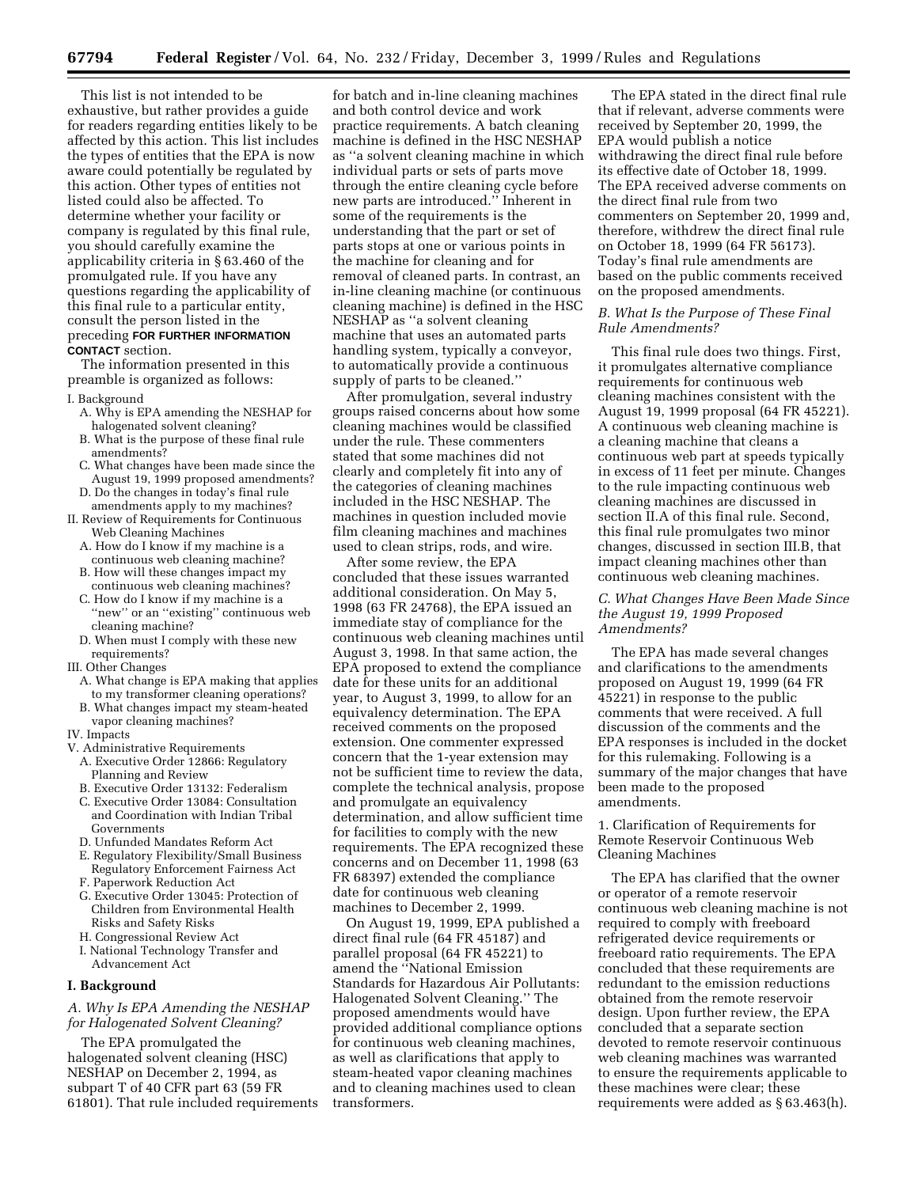This list is not intended to be exhaustive, but rather provides a guide for readers regarding entities likely to be affected by this action. This list includes the types of entities that the EPA is now aware could potentially be regulated by this action. Other types of entities not listed could also be affected. To determine whether your facility or company is regulated by this final rule, you should carefully examine the applicability criteria in § 63.460 of the promulgated rule. If you have any questions regarding the applicability of this final rule to a particular entity, consult the person listed in the preceding **FOR FURTHER INFORMATION CONTACT** section.

The information presented in this preamble is organized as follows:

- I. Background
	- A. Why is EPA amending the NESHAP for halogenated solvent cleaning?
	- B. What is the purpose of these final rule amendments?
	- C. What changes have been made since the August 19, 1999 proposed amendments?
	- D. Do the changes in today's final rule amendments apply to my machines?
- II. Review of Requirements for Continuous Web Cleaning Machines
	- A. How do I know if my machine is a continuous web cleaning machine?
	- B. How will these changes impact my continuous web cleaning machines?
	- C. How do I know if my machine is a "new" or an "existing" continuous web cleaning machine?
	- D. When must I comply with these new requirements?
- III. Other Changes
	- A. What change is EPA making that applies to my transformer cleaning operations?
	- B. What changes impact my steam-heated vapor cleaning machines?
- IV. Impacts

#### V. Administrative Requirements

- A. Executive Order 12866: Regulatory Planning and Review
- B. Executive Order 13132: Federalism
- C. Executive Order 13084: Consultation and Coordination with Indian Tribal Governments
- D. Unfunded Mandates Reform Act
- E. Regulatory Flexibility/Small Business Regulatory Enforcement Fairness Act
- F. Paperwork Reduction Act
- G. Executive Order 13045: Protection of Children from Environmental Health Risks and Safety Risks
- H. Congressional Review Act
- I. National Technology Transfer and
- Advancement Act

# **I. Background**

# *A. Why Is EPA Amending the NESHAP for Halogenated Solvent Cleaning?*

The EPA promulgated the halogenated solvent cleaning (HSC) NESHAP on December 2, 1994, as subpart T of 40 CFR part 63 (59 FR 61801). That rule included requirements

for batch and in-line cleaning machines and both control device and work practice requirements. A batch cleaning machine is defined in the HSC NESHAP as ''a solvent cleaning machine in which individual parts or sets of parts move through the entire cleaning cycle before new parts are introduced.'' Inherent in some of the requirements is the understanding that the part or set of parts stops at one or various points in the machine for cleaning and for removal of cleaned parts. In contrast, an in-line cleaning machine (or continuous cleaning machine) is defined in the HSC NESHAP as ''a solvent cleaning machine that uses an automated parts handling system, typically a conveyor, to automatically provide a continuous supply of parts to be cleaned.''

After promulgation, several industry groups raised concerns about how some cleaning machines would be classified under the rule. These commenters stated that some machines did not clearly and completely fit into any of the categories of cleaning machines included in the HSC NESHAP. The machines in question included movie film cleaning machines and machines used to clean strips, rods, and wire.

After some review, the EPA concluded that these issues warranted additional consideration. On May 5, 1998 (63 FR 24768), the EPA issued an immediate stay of compliance for the continuous web cleaning machines until August 3, 1998. In that same action, the EPA proposed to extend the compliance date for these units for an additional year, to August 3, 1999, to allow for an equivalency determination. The EPA received comments on the proposed extension. One commenter expressed concern that the 1-year extension may not be sufficient time to review the data, complete the technical analysis, propose and promulgate an equivalency determination, and allow sufficient time for facilities to comply with the new requirements. The EPA recognized these concerns and on December 11, 1998 (63 FR 68397) extended the compliance date for continuous web cleaning machines to December 2, 1999.

On August 19, 1999, EPA published a direct final rule (64 FR 45187) and parallel proposal (64 FR 45221) to amend the ''National Emission Standards for Hazardous Air Pollutants: Halogenated Solvent Cleaning.'' The proposed amendments would have provided additional compliance options for continuous web cleaning machines, as well as clarifications that apply to steam-heated vapor cleaning machines and to cleaning machines used to clean transformers.

The EPA stated in the direct final rule that if relevant, adverse comments were received by September 20, 1999, the EPA would publish a notice withdrawing the direct final rule before its effective date of October 18, 1999. The EPA received adverse comments on the direct final rule from two commenters on September 20, 1999 and, therefore, withdrew the direct final rule on October 18, 1999 (64 FR 56173). Today's final rule amendments are based on the public comments received on the proposed amendments.

# *B. What Is the Purpose of These Final Rule Amendments?*

This final rule does two things. First, it promulgates alternative compliance requirements for continuous web cleaning machines consistent with the August 19, 1999 proposal (64 FR 45221). A continuous web cleaning machine is a cleaning machine that cleans a continuous web part at speeds typically in excess of 11 feet per minute. Changes to the rule impacting continuous web cleaning machines are discussed in section II.A of this final rule. Second, this final rule promulgates two minor changes, discussed in section III.B, that impact cleaning machines other than continuous web cleaning machines.

# *C. What Changes Have Been Made Since the August 19, 1999 Proposed Amendments?*

The EPA has made several changes and clarifications to the amendments proposed on August 19, 1999 (64 FR 45221) in response to the public comments that were received. A full discussion of the comments and the EPA responses is included in the docket for this rulemaking. Following is a summary of the major changes that have been made to the proposed amendments.

1. Clarification of Requirements for Remote Reservoir Continuous Web Cleaning Machines

The EPA has clarified that the owner or operator of a remote reservoir continuous web cleaning machine is not required to comply with freeboard refrigerated device requirements or freeboard ratio requirements. The EPA concluded that these requirements are redundant to the emission reductions obtained from the remote reservoir design. Upon further review, the EPA concluded that a separate section devoted to remote reservoir continuous web cleaning machines was warranted to ensure the requirements applicable to these machines were clear; these requirements were added as § 63.463(h).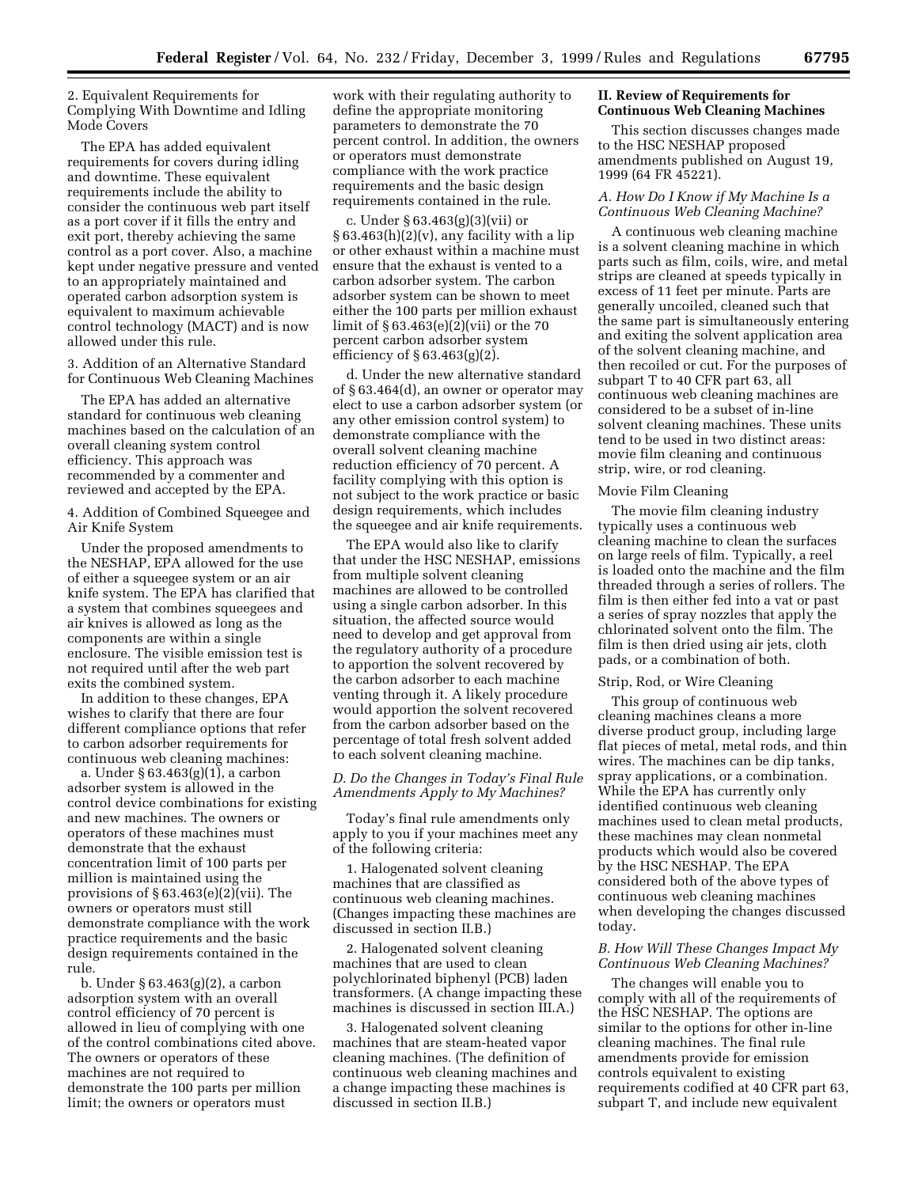2. Equivalent Requirements for Complying With Downtime and Idling Mode Covers

The EPA has added equivalent requirements for covers during idling and downtime. These equivalent requirements include the ability to consider the continuous web part itself as a port cover if it fills the entry and exit port, thereby achieving the same control as a port cover. Also, a machine kept under negative pressure and vented to an appropriately maintained and operated carbon adsorption system is equivalent to maximum achievable control technology (MACT) and is now allowed under this rule.

3. Addition of an Alternative Standard for Continuous Web Cleaning Machines

The EPA has added an alternative standard for continuous web cleaning machines based on the calculation of an overall cleaning system control efficiency. This approach was recommended by a commenter and reviewed and accepted by the EPA.

4. Addition of Combined Squeegee and Air Knife System

Under the proposed amendments to the NESHAP, EPA allowed for the use of either a squeegee system or an air knife system. The EPA has clarified that a system that combines squeegees and air knives is allowed as long as the components are within a single enclosure. The visible emission test is not required until after the web part exits the combined system.

In addition to these changes, EPA wishes to clarify that there are four different compliance options that refer to carbon adsorber requirements for continuous web cleaning machines:

a. Under § 63.463(g)(1), a carbon adsorber system is allowed in the control device combinations for existing and new machines. The owners or operators of these machines must demonstrate that the exhaust concentration limit of 100 parts per million is maintained using the provisions of § 63.463(e)(2)(vii). The owners or operators must still demonstrate compliance with the work practice requirements and the basic design requirements contained in the rule.

b. Under § 63.463(g)(2), a carbon adsorption system with an overall control efficiency of 70 percent is allowed in lieu of complying with one of the control combinations cited above. The owners or operators of these machines are not required to demonstrate the 100 parts per million limit; the owners or operators must

work with their regulating authority to define the appropriate monitoring parameters to demonstrate the 70 percent control. In addition, the owners or operators must demonstrate compliance with the work practice requirements and the basic design requirements contained in the rule.

c. Under § 63.463(g)(3)(vii) or  $§ 63.463(h)(2)(v)$ , any facility with a lip or other exhaust within a machine must ensure that the exhaust is vented to a carbon adsorber system. The carbon adsorber system can be shown to meet either the 100 parts per million exhaust limit of § 63.463(e)(2)(vii) or the 70 percent carbon adsorber system efficiency of § 63.463(g)(2).

d. Under the new alternative standard of § 63.464(d), an owner or operator may elect to use a carbon adsorber system (or any other emission control system) to demonstrate compliance with the overall solvent cleaning machine reduction efficiency of 70 percent. A facility complying with this option is not subject to the work practice or basic design requirements, which includes the squeegee and air knife requirements.

The EPA would also like to clarify that under the HSC NESHAP, emissions from multiple solvent cleaning machines are allowed to be controlled using a single carbon adsorber. In this situation, the affected source would need to develop and get approval from the regulatory authority of a procedure to apportion the solvent recovered by the carbon adsorber to each machine venting through it. A likely procedure would apportion the solvent recovered from the carbon adsorber based on the percentage of total fresh solvent added to each solvent cleaning machine.

# *D. Do the Changes in Today's Final Rule Amendments Apply to My Machines?*

Today's final rule amendments only apply to you if your machines meet any of the following criteria:

1. Halogenated solvent cleaning machines that are classified as continuous web cleaning machines. (Changes impacting these machines are discussed in section II.B.)

2. Halogenated solvent cleaning machines that are used to clean polychlorinated biphenyl (PCB) laden transformers. (A change impacting these machines is discussed in section III.A.)

3. Halogenated solvent cleaning machines that are steam-heated vapor cleaning machines. (The definition of continuous web cleaning machines and a change impacting these machines is discussed in section II.B.)

# **II. Review of Requirements for Continuous Web Cleaning Machines**

This section discusses changes made to the HSC NESHAP proposed amendments published on August 19, 1999 (64 FR 45221).

# *A. How Do I Know if My Machine Is a Continuous Web Cleaning Machine?*

A continuous web cleaning machine is a solvent cleaning machine in which parts such as film, coils, wire, and metal strips are cleaned at speeds typically in excess of 11 feet per minute. Parts are generally uncoiled, cleaned such that the same part is simultaneously entering and exiting the solvent application area of the solvent cleaning machine, and then recoiled or cut. For the purposes of subpart T to 40 CFR part 63, all continuous web cleaning machines are considered to be a subset of in-line solvent cleaning machines. These units tend to be used in two distinct areas: movie film cleaning and continuous strip, wire, or rod cleaning.

#### Movie Film Cleaning

The movie film cleaning industry typically uses a continuous web cleaning machine to clean the surfaces on large reels of film. Typically, a reel is loaded onto the machine and the film threaded through a series of rollers. The film is then either fed into a vat or past a series of spray nozzles that apply the chlorinated solvent onto the film. The film is then dried using air jets, cloth pads, or a combination of both.

#### Strip, Rod, or Wire Cleaning

This group of continuous web cleaning machines cleans a more diverse product group, including large flat pieces of metal, metal rods, and thin wires. The machines can be dip tanks, spray applications, or a combination. While the EPA has currently only identified continuous web cleaning machines used to clean metal products, these machines may clean nonmetal products which would also be covered by the HSC NESHAP. The EPA considered both of the above types of continuous web cleaning machines when developing the changes discussed today.

# *B. How Will These Changes Impact My Continuous Web Cleaning Machines?*

The changes will enable you to comply with all of the requirements of the HSC NESHAP. The options are similar to the options for other in-line cleaning machines. The final rule amendments provide for emission controls equivalent to existing requirements codified at 40 CFR part 63, subpart T, and include new equivalent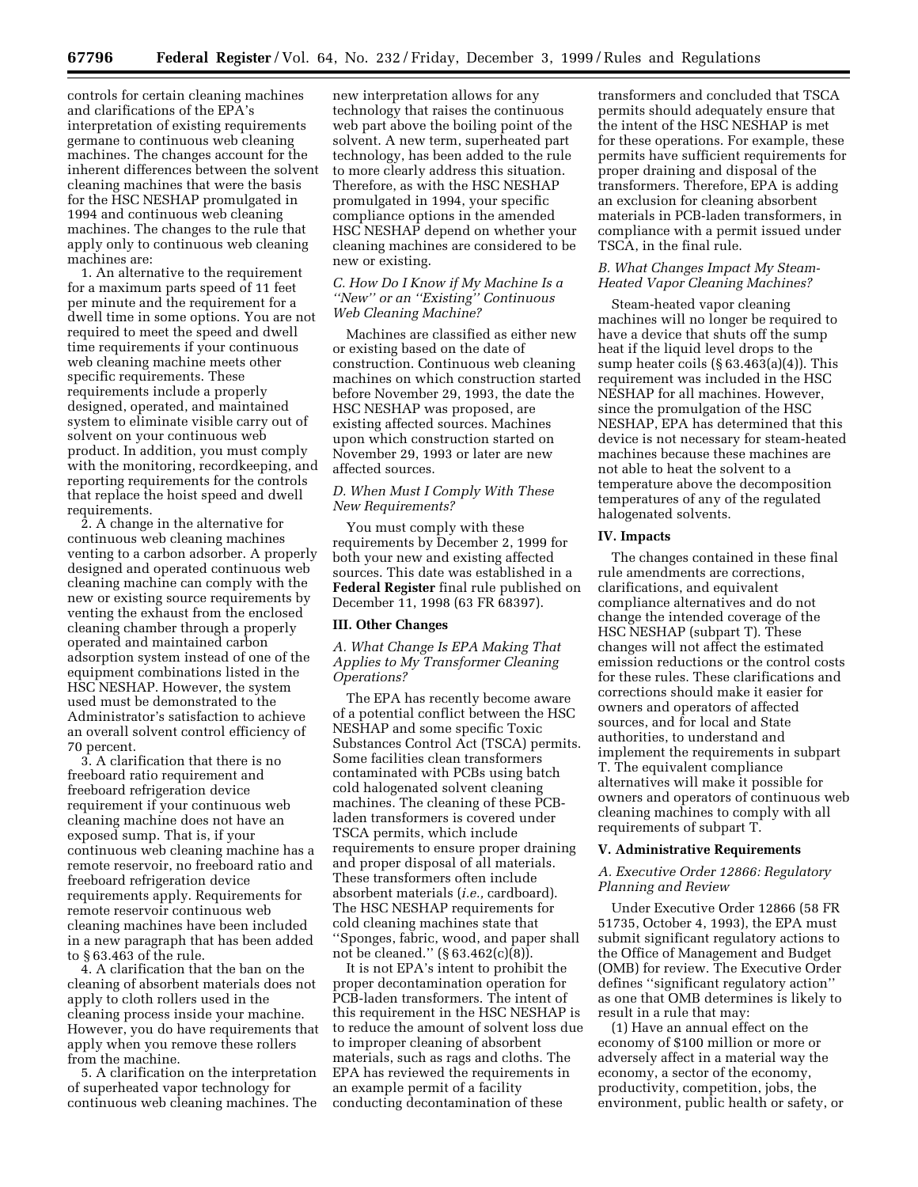controls for certain cleaning machines and clarifications of the EPA's interpretation of existing requirements germane to continuous web cleaning machines. The changes account for the inherent differences between the solvent cleaning machines that were the basis for the HSC NESHAP promulgated in 1994 and continuous web cleaning machines. The changes to the rule that apply only to continuous web cleaning machines are:

1. An alternative to the requirement for a maximum parts speed of 11 feet per minute and the requirement for a dwell time in some options. You are not required to meet the speed and dwell time requirements if your continuous web cleaning machine meets other specific requirements. These requirements include a properly designed, operated, and maintained system to eliminate visible carry out of solvent on your continuous web product. In addition, you must comply with the monitoring, recordkeeping, and reporting requirements for the controls that replace the hoist speed and dwell requirements.

2. A change in the alternative for continuous web cleaning machines venting to a carbon adsorber. A properly designed and operated continuous web cleaning machine can comply with the new or existing source requirements by venting the exhaust from the enclosed cleaning chamber through a properly operated and maintained carbon adsorption system instead of one of the equipment combinations listed in the HSC NESHAP. However, the system used must be demonstrated to the Administrator's satisfaction to achieve an overall solvent control efficiency of 70 percent.

3. A clarification that there is no freeboard ratio requirement and freeboard refrigeration device requirement if your continuous web cleaning machine does not have an exposed sump. That is, if your continuous web cleaning machine has a remote reservoir, no freeboard ratio and freeboard refrigeration device requirements apply. Requirements for remote reservoir continuous web cleaning machines have been included in a new paragraph that has been added to § 63.463 of the rule.

4. A clarification that the ban on the cleaning of absorbent materials does not apply to cloth rollers used in the cleaning process inside your machine. However, you do have requirements that apply when you remove these rollers from the machine.

5. A clarification on the interpretation of superheated vapor technology for continuous web cleaning machines. The

new interpretation allows for any technology that raises the continuous web part above the boiling point of the solvent. A new term, superheated part technology, has been added to the rule to more clearly address this situation. Therefore, as with the HSC NESHAP promulgated in 1994, your specific compliance options in the amended HSC NESHAP depend on whether your cleaning machines are considered to be new or existing.

# *C. How Do I Know if My Machine Is a ''New'' or an ''Existing'' Continuous Web Cleaning Machine?*

Machines are classified as either new or existing based on the date of construction. Continuous web cleaning machines on which construction started before November 29, 1993, the date the HSC NESHAP was proposed, are existing affected sources. Machines upon which construction started on November 29, 1993 or later are new affected sources.

# *D. When Must I Comply With These New Requirements?*

You must comply with these requirements by December 2, 1999 for both your new and existing affected sources. This date was established in a **Federal Register** final rule published on December 11, 1998 (63 FR 68397).

# **III. Other Changes**

*A. What Change Is EPA Making That Applies to My Transformer Cleaning Operations?*

The EPA has recently become aware of a potential conflict between the HSC NESHAP and some specific Toxic Substances Control Act (TSCA) permits. Some facilities clean transformers contaminated with PCBs using batch cold halogenated solvent cleaning machines. The cleaning of these PCBladen transformers is covered under TSCA permits, which include requirements to ensure proper draining and proper disposal of all materials. These transformers often include absorbent materials (*i.e.,* cardboard). The HSC NESHAP requirements for cold cleaning machines state that ''Sponges, fabric, wood, and paper shall not be cleaned.'' (§ 63.462(c)(8)).

It is not EPA's intent to prohibit the proper decontamination operation for PCB-laden transformers. The intent of this requirement in the HSC NESHAP is to reduce the amount of solvent loss due to improper cleaning of absorbent materials, such as rags and cloths. The EPA has reviewed the requirements in an example permit of a facility conducting decontamination of these

transformers and concluded that TSCA permits should adequately ensure that the intent of the HSC NESHAP is met for these operations. For example, these permits have sufficient requirements for proper draining and disposal of the transformers. Therefore, EPA is adding an exclusion for cleaning absorbent materials in PCB-laden transformers, in compliance with a permit issued under TSCA, in the final rule.

# *B. What Changes Impact My Steam-Heated Vapor Cleaning Machines?*

Steam-heated vapor cleaning machines will no longer be required to have a device that shuts off the sump heat if the liquid level drops to the sump heater coils  $(\S 63.463(a)(4))$ . This requirement was included in the HSC NESHAP for all machines. However, since the promulgation of the HSC NESHAP, EPA has determined that this device is not necessary for steam-heated machines because these machines are not able to heat the solvent to a temperature above the decomposition temperatures of any of the regulated halogenated solvents.

#### **IV. Impacts**

The changes contained in these final rule amendments are corrections, clarifications, and equivalent compliance alternatives and do not change the intended coverage of the HSC NESHAP (subpart T). These changes will not affect the estimated emission reductions or the control costs for these rules. These clarifications and corrections should make it easier for owners and operators of affected sources, and for local and State authorities, to understand and implement the requirements in subpart T. The equivalent compliance alternatives will make it possible for owners and operators of continuous web cleaning machines to comply with all requirements of subpart T.

#### **V. Administrative Requirements**

# *A. Executive Order 12866: Regulatory Planning and Review*

Under Executive Order 12866 (58 FR 51735, October 4, 1993), the EPA must submit significant regulatory actions to the Office of Management and Budget (OMB) for review. The Executive Order defines ''significant regulatory action'' as one that OMB determines is likely to result in a rule that may:

(1) Have an annual effect on the economy of \$100 million or more or adversely affect in a material way the economy, a sector of the economy, productivity, competition, jobs, the environment, public health or safety, or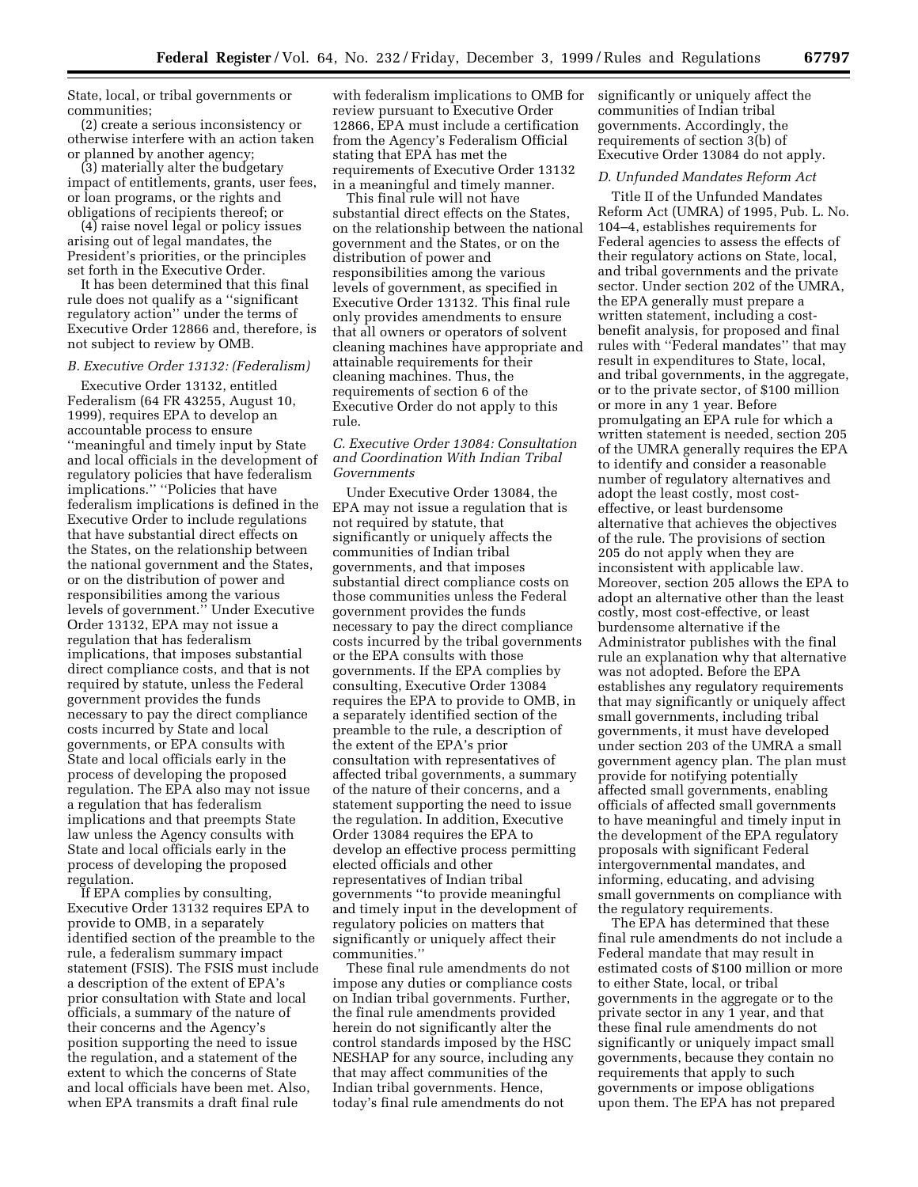State, local, or tribal governments or communities;

(2) create a serious inconsistency or otherwise interfere with an action taken or planned by another agency;

(3) materially alter the budgetary impact of entitlements, grants, user fees, or loan programs, or the rights and obligations of recipients thereof; or

(4) raise novel legal or policy issues arising out of legal mandates, the President's priorities, or the principles set forth in the Executive Order.

It has been determined that this final rule does not qualify as a ''significant regulatory action'' under the terms of Executive Order 12866 and, therefore, is not subject to review by OMB.

#### *B. Executive Order 13132: (Federalism)*

Executive Order 13132, entitled Federalism (64 FR 43255, August 10, 1999), requires EPA to develop an accountable process to ensure ''meaningful and timely input by State and local officials in the development of regulatory policies that have federalism implications.'' ''Policies that have federalism implications is defined in the Executive Order to include regulations that have substantial direct effects on the States, on the relationship between the national government and the States, or on the distribution of power and responsibilities among the various levels of government.'' Under Executive Order 13132, EPA may not issue a regulation that has federalism implications, that imposes substantial direct compliance costs, and that is not required by statute, unless the Federal government provides the funds necessary to pay the direct compliance costs incurred by State and local governments, or EPA consults with State and local officials early in the process of developing the proposed regulation. The EPA also may not issue a regulation that has federalism implications and that preempts State law unless the Agency consults with State and local officials early in the process of developing the proposed regulation.

If EPA complies by consulting, Executive Order 13132 requires EPA to provide to OMB, in a separately identified section of the preamble to the rule, a federalism summary impact statement (FSIS). The FSIS must include a description of the extent of EPA's prior consultation with State and local officials, a summary of the nature of their concerns and the Agency's position supporting the need to issue the regulation, and a statement of the extent to which the concerns of State and local officials have been met. Also, when EPA transmits a draft final rule

with federalism implications to OMB for review pursuant to Executive Order 12866, EPA must include a certification from the Agency's Federalism Official stating that EPA has met the requirements of Executive Order 13132 in a meaningful and timely manner.

This final rule will not have substantial direct effects on the States, on the relationship between the national government and the States, or on the distribution of power and responsibilities among the various levels of government, as specified in Executive Order 13132. This final rule only provides amendments to ensure that all owners or operators of solvent cleaning machines have appropriate and attainable requirements for their cleaning machines. Thus, the requirements of section 6 of the Executive Order do not apply to this rule.

# *C. Executive Order 13084: Consultation and Coordination With Indian Tribal Governments*

Under Executive Order 13084, the EPA may not issue a regulation that is not required by statute, that significantly or uniquely affects the communities of Indian tribal governments, and that imposes substantial direct compliance costs on those communities unless the Federal government provides the funds necessary to pay the direct compliance costs incurred by the tribal governments or the EPA consults with those governments. If the EPA complies by consulting, Executive Order 13084 requires the EPA to provide to OMB, in a separately identified section of the preamble to the rule, a description of the extent of the EPA's prior consultation with representatives of affected tribal governments, a summary of the nature of their concerns, and a statement supporting the need to issue the regulation. In addition, Executive Order 13084 requires the EPA to develop an effective process permitting elected officials and other representatives of Indian tribal governments ''to provide meaningful and timely input in the development of regulatory policies on matters that significantly or uniquely affect their communities.''

These final rule amendments do not impose any duties or compliance costs on Indian tribal governments. Further, the final rule amendments provided herein do not significantly alter the control standards imposed by the HSC NESHAP for any source, including any that may affect communities of the Indian tribal governments. Hence, today's final rule amendments do not

significantly or uniquely affect the communities of Indian tribal governments. Accordingly, the requirements of section 3(b) of Executive Order 13084 do not apply.

#### *D. Unfunded Mandates Reform Act*

Title II of the Unfunded Mandates Reform Act (UMRA) of 1995, Pub. L. No. 104–4, establishes requirements for Federal agencies to assess the effects of their regulatory actions on State, local, and tribal governments and the private sector. Under section 202 of the UMRA, the EPA generally must prepare a written statement, including a costbenefit analysis, for proposed and final rules with ''Federal mandates'' that may result in expenditures to State, local, and tribal governments, in the aggregate, or to the private sector, of \$100 million or more in any 1 year. Before promulgating an EPA rule for which a written statement is needed, section 205 of the UMRA generally requires the EPA to identify and consider a reasonable number of regulatory alternatives and adopt the least costly, most costeffective, or least burdensome alternative that achieves the objectives of the rule. The provisions of section 205 do not apply when they are inconsistent with applicable law. Moreover, section 205 allows the EPA to adopt an alternative other than the least costly, most cost-effective, or least burdensome alternative if the Administrator publishes with the final rule an explanation why that alternative was not adopted. Before the EPA establishes any regulatory requirements that may significantly or uniquely affect small governments, including tribal governments, it must have developed under section 203 of the UMRA a small government agency plan. The plan must provide for notifying potentially affected small governments, enabling officials of affected small governments to have meaningful and timely input in the development of the EPA regulatory proposals with significant Federal intergovernmental mandates, and informing, educating, and advising small governments on compliance with the regulatory requirements.

The EPA has determined that these final rule amendments do not include a Federal mandate that may result in estimated costs of \$100 million or more to either State, local, or tribal governments in the aggregate or to the private sector in any 1 year, and that these final rule amendments do not significantly or uniquely impact small governments, because they contain no requirements that apply to such governments or impose obligations upon them. The EPA has not prepared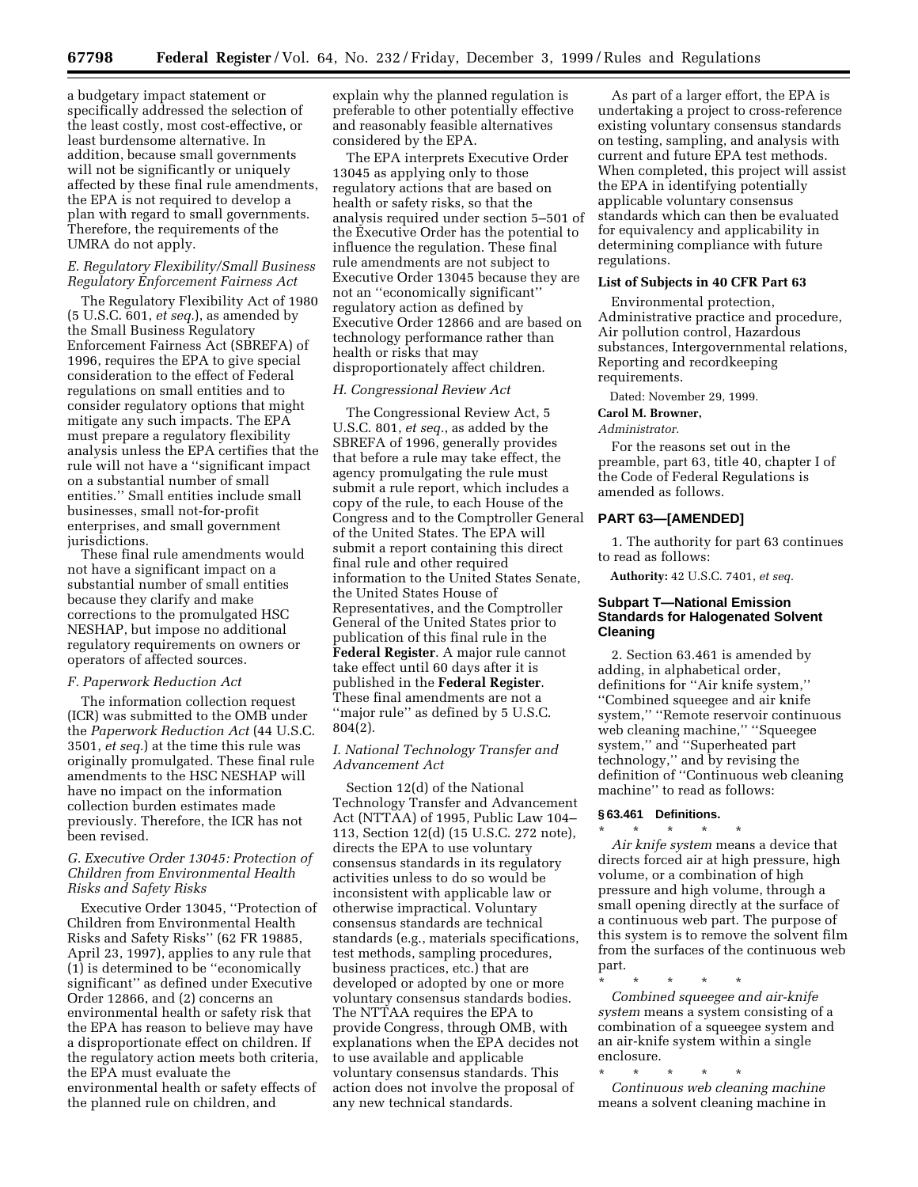a budgetary impact statement or specifically addressed the selection of the least costly, most cost-effective, or least burdensome alternative. In addition, because small governments will not be significantly or uniquely affected by these final rule amendments, the EPA is not required to develop a plan with regard to small governments. Therefore, the requirements of the UMRA do not apply.

# *E. Regulatory Flexibility/Small Business Regulatory Enforcement Fairness Act*

The Regulatory Flexibility Act of 1980 (5 U.S.C. 601, *et seq.*), as amended by the Small Business Regulatory Enforcement Fairness Act (SBREFA) of 1996, requires the EPA to give special consideration to the effect of Federal regulations on small entities and to consider regulatory options that might mitigate any such impacts. The EPA must prepare a regulatory flexibility analysis unless the EPA certifies that the rule will not have a ''significant impact on a substantial number of small entities.'' Small entities include small businesses, small not-for-profit enterprises, and small government jurisdictions.

These final rule amendments would not have a significant impact on a substantial number of small entities because they clarify and make corrections to the promulgated HSC NESHAP, but impose no additional regulatory requirements on owners or operators of affected sources.

# *F. Paperwork Reduction Act*

The information collection request (ICR) was submitted to the OMB under the *Paperwork Reduction Act* (44 U.S.C. 3501, *et seq.*) at the time this rule was originally promulgated. These final rule amendments to the HSC NESHAP will have no impact on the information collection burden estimates made previously. Therefore, the ICR has not been revised.

# *G. Executive Order 13045: Protection of Children from Environmental Health Risks and Safety Risks*

Executive Order 13045, ''Protection of Children from Environmental Health Risks and Safety Risks'' (62 FR 19885, April 23, 1997), applies to any rule that (1) is determined to be ''economically significant'' as defined under Executive Order 12866, and (2) concerns an environmental health or safety risk that the EPA has reason to believe may have a disproportionate effect on children. If the regulatory action meets both criteria, the EPA must evaluate the environmental health or safety effects of the planned rule on children, and

explain why the planned regulation is preferable to other potentially effective and reasonably feasible alternatives considered by the EPA.

The EPA interprets Executive Order 13045 as applying only to those regulatory actions that are based on health or safety risks, so that the analysis required under section 5–501 of the Executive Order has the potential to influence the regulation. These final rule amendments are not subject to Executive Order 13045 because they are not an ''economically significant'' regulatory action as defined by Executive Order 12866 and are based on technology performance rather than health or risks that may disproportionately affect children.

#### *H. Congressional Review Act*

The Congressional Review Act, 5 U.S.C. 801, *et seq.*, as added by the SBREFA of 1996, generally provides that before a rule may take effect, the agency promulgating the rule must submit a rule report, which includes a copy of the rule, to each House of the Congress and to the Comptroller General of the United States. The EPA will submit a report containing this direct final rule and other required information to the United States Senate, the United States House of Representatives, and the Comptroller General of the United States prior to publication of this final rule in the **Federal Register**. A major rule cannot take effect until 60 days after it is published in the **Federal Register**. These final amendments are not a ''major rule'' as defined by 5 U.S.C. 804(2).

# *I. National Technology Transfer and Advancement Act*

Section 12(d) of the National Technology Transfer and Advancement Act (NTTAA) of 1995, Public Law 104– 113, Section 12(d) (15 U.S.C. 272 note), directs the EPA to use voluntary consensus standards in its regulatory activities unless to do so would be inconsistent with applicable law or otherwise impractical. Voluntary consensus standards are technical standards (e.g., materials specifications, test methods, sampling procedures, business practices, etc.) that are developed or adopted by one or more voluntary consensus standards bodies. The NTTAA requires the EPA to provide Congress, through OMB, with explanations when the EPA decides not to use available and applicable voluntary consensus standards. This action does not involve the proposal of any new technical standards.

As part of a larger effort, the EPA is undertaking a project to cross-reference existing voluntary consensus standards on testing, sampling, and analysis with current and future EPA test methods. When completed, this project will assist the EPA in identifying potentially applicable voluntary consensus standards which can then be evaluated for equivalency and applicability in determining compliance with future regulations.

#### **List of Subjects in 40 CFR Part 63**

Environmental protection, Administrative practice and procedure, Air pollution control, Hazardous substances, Intergovernmental relations, Reporting and recordkeeping requirements.

Dated: November 29, 1999.

# **Carol M. Browner,**

# *Administrator.*

For the reasons set out in the preamble, part 63, title 40, chapter I of the Code of Federal Regulations is amended as follows.

# **PART 63—[AMENDED]**

1. The authority for part 63 continues to read as follows:

**Authority:** 42 U.S.C. 7401, *et seq.*

# **Subpart T—National Emission Standards for Halogenated Solvent Cleaning**

2. Section 63.461 is amended by adding, in alphabetical order, definitions for ''Air knife system,'' ''Combined squeegee and air knife system,'' ''Remote reservoir continuous web cleaning machine,'' ''Squeegee system,'' and ''Superheated part technology,'' and by revising the definition of ''Continuous web cleaning machine'' to read as follows:

#### **§ 63.461 Definitions.** \* \* \* \* \*

*Air knife system* means a device that directs forced air at high pressure, high volume, or a combination of high pressure and high volume, through a small opening directly at the surface of a continuous web part. The purpose of this system is to remove the solvent film from the surfaces of the continuous web part.

\* \* \* \* \*

*Combined squeegee and air-knife system* means a system consisting of a combination of a squeegee system and an air-knife system within a single enclosure.

\* \* \* \* \* *Continuous web cleaning machine* means a solvent cleaning machine in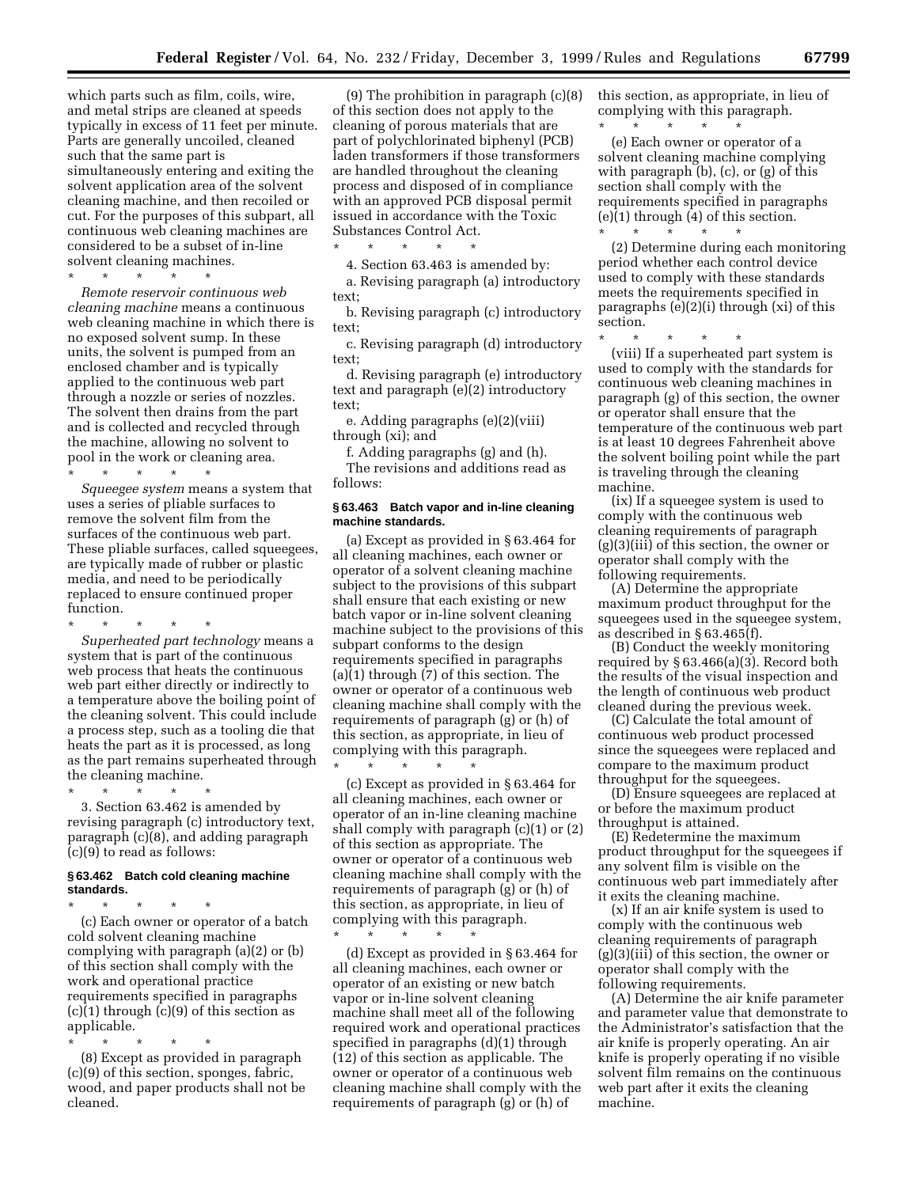which parts such as film, coils, wire, and metal strips are cleaned at speeds typically in excess of 11 feet per minute. Parts are generally uncoiled, cleaned such that the same part is simultaneously entering and exiting the solvent application area of the solvent cleaning machine, and then recoiled or cut. For the purposes of this subpart, all continuous web cleaning machines are considered to be a subset of in-line solvent cleaning machines.

\* \* \* \* \* *Remote reservoir continuous web cleaning machine* means a continuous web cleaning machine in which there is no exposed solvent sump. In these units, the solvent is pumped from an enclosed chamber and is typically applied to the continuous web part through a nozzle or series of nozzles. The solvent then drains from the part and is collected and recycled through the machine, allowing no solvent to pool in the work or cleaning area.

\* \* \* \* \* *Squeegee system* means a system that uses a series of pliable surfaces to remove the solvent film from the surfaces of the continuous web part. These pliable surfaces, called squeegees, are typically made of rubber or plastic media, and need to be periodically replaced to ensure continued proper function.

\* \* \* \* \* *Superheated part technology* means a system that is part of the continuous web process that heats the continuous web part either directly or indirectly to a temperature above the boiling point of the cleaning solvent. This could include a process step, such as a tooling die that heats the part as it is processed, as long as the part remains superheated through the cleaning machine.

\* \* \* \* \* 3. Section 63.462 is amended by revising paragraph (c) introductory text, paragraph (c)(8), and adding paragraph (c)(9) to read as follows:

# **§ 63.462 Batch cold cleaning machine standards.**

\* \* \* \* \* (c) Each owner or operator of a batch cold solvent cleaning machine complying with paragraph (a)(2) or (b) of this section shall comply with the work and operational practice requirements specified in paragraphs  $(c)(1)$  through  $(c)(9)$  of this section as applicable.

\* \* \* \* \* (8) Except as provided in paragraph (c)(9) of this section, sponges, fabric, wood, and paper products shall not be cleaned.

(9) The prohibition in paragraph (c)(8) of this section does not apply to the cleaning of porous materials that are part of polychlorinated biphenyl (PCB) laden transformers if those transformers are handled throughout the cleaning process and disposed of in compliance with an approved PCB disposal permit issued in accordance with the Toxic Substances Control Act.

\* \* \* \* \*

4. Section 63.463 is amended by: a. Revising paragraph (a) introductory text;

b. Revising paragraph (c) introductory text;

c. Revising paragraph (d) introductory text;

d. Revising paragraph (e) introductory text and paragraph (e)(2) introductory text;

e. Adding paragraphs (e)(2)(viii) through (xi); and

f. Adding paragraphs (g) and (h).

The revisions and additions read as follows:

# **§ 63.463 Batch vapor and in-line cleaning machine standards.**

(a) Except as provided in § 63.464 for all cleaning machines, each owner or operator of a solvent cleaning machine subject to the provisions of this subpart shall ensure that each existing or new batch vapor or in-line solvent cleaning machine subject to the provisions of this subpart conforms to the design requirements specified in paragraphs (a)(1) through (7) of this section. The owner or operator of a continuous web cleaning machine shall comply with the requirements of paragraph (g) or (h) of this section, as appropriate, in lieu of complying with this paragraph.  $\star$   $\star$   $\star$ 

(c) Except as provided in § 63.464 for all cleaning machines, each owner or operator of an in-line cleaning machine shall comply with paragraph (c)(1) or (2) of this section as appropriate. The owner or operator of a continuous web cleaning machine shall comply with the requirements of paragraph (g) or (h) of this section, as appropriate, in lieu of complying with this paragraph.

\* \* \* \* \* (d) Except as provided in § 63.464 for all cleaning machines, each owner or operator of an existing or new batch vapor or in-line solvent cleaning machine shall meet all of the following required work and operational practices specified in paragraphs (d)(1) through (12) of this section as applicable. The owner or operator of a continuous web cleaning machine shall comply with the requirements of paragraph (g) or (h) of

this section, as appropriate, in lieu of complying with this paragraph. \* \* \* \* \*

(e) Each owner or operator of a solvent cleaning machine complying with paragraph (b), (c), or (g) of this section shall comply with the requirements specified in paragraphs (e)(1) through (4) of this section. \* \* \* \* \*

(2) Determine during each monitoring period whether each control device used to comply with these standards meets the requirements specified in paragraphs (e)(2)(i) through (xi) of this section.

\* \* \* \* \* (viii) If a superheated part system is used to comply with the standards for continuous web cleaning machines in paragraph (g) of this section, the owner or operator shall ensure that the temperature of the continuous web part is at least 10 degrees Fahrenheit above the solvent boiling point while the part is traveling through the cleaning machine.

(ix) If a squeegee system is used to comply with the continuous web cleaning requirements of paragraph (g)(3)(iii) of this section, the owner or operator shall comply with the following requirements.

(A) Determine the appropriate maximum product throughput for the squeegees used in the squeegee system, as described in § 63.465(f).

(B) Conduct the weekly monitoring required by § 63.466(a)(3). Record both the results of the visual inspection and the length of continuous web product cleaned during the previous week.

(C) Calculate the total amount of continuous web product processed since the squeegees were replaced and compare to the maximum product throughput for the squeegees.

(D) Ensure squeegees are replaced at or before the maximum product throughput is attained.

(E) Redetermine the maximum product throughput for the squeegees if any solvent film is visible on the continuous web part immediately after it exits the cleaning machine.

(x) If an air knife system is used to comply with the continuous web cleaning requirements of paragraph (g)(3)(iii) of this section, the owner or operator shall comply with the following requirements.

(A) Determine the air knife parameter and parameter value that demonstrate to the Administrator's satisfaction that the air knife is properly operating. An air knife is properly operating if no visible solvent film remains on the continuous web part after it exits the cleaning machine.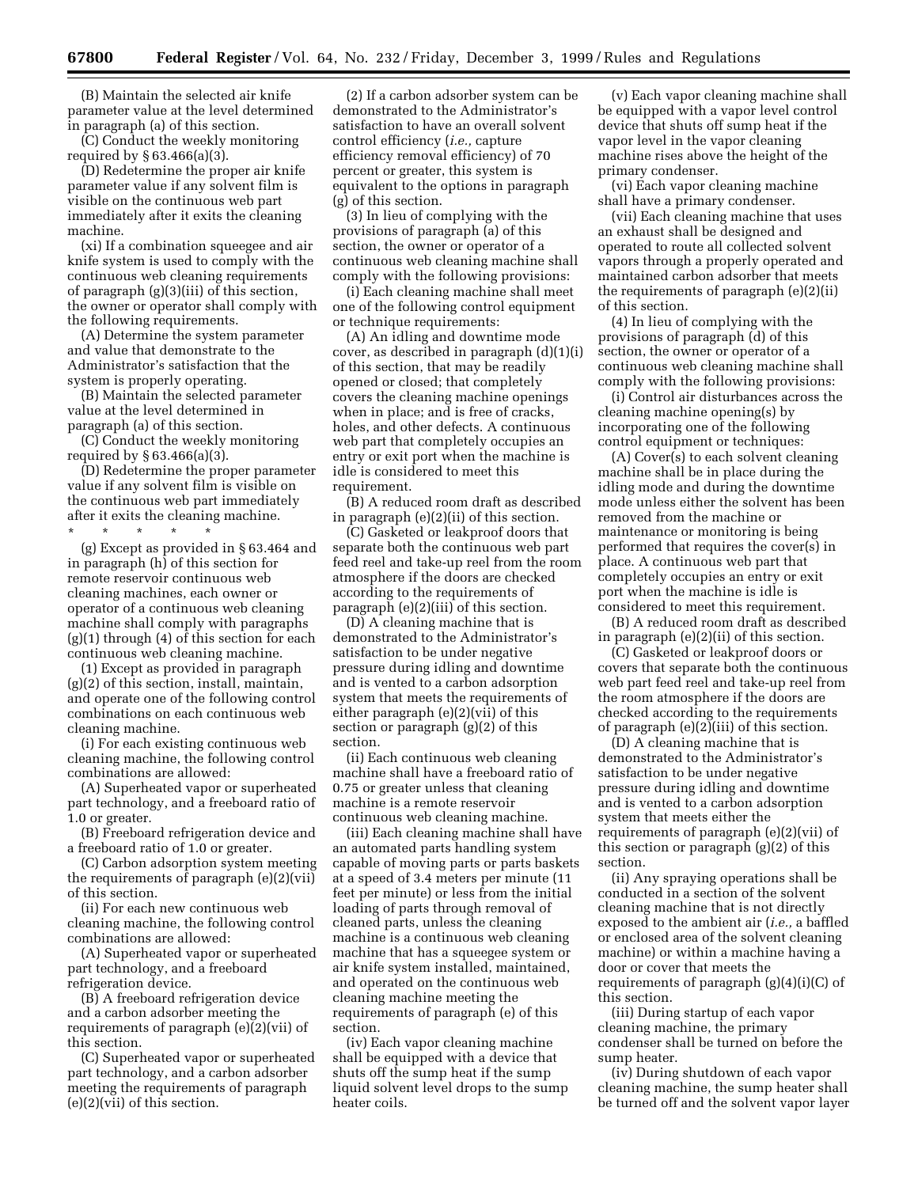(B) Maintain the selected air knife parameter value at the level determined in paragraph (a) of this section.

(C) Conduct the weekly monitoring required by § 63.466(a)(3).

(D) Redetermine the proper air knife parameter value if any solvent film is visible on the continuous web part immediately after it exits the cleaning machine.

(xi) If a combination squeegee and air knife system is used to comply with the continuous web cleaning requirements of paragraph (g)(3)(iii) of this section, the owner or operator shall comply with the following requirements.

(A) Determine the system parameter and value that demonstrate to the Administrator's satisfaction that the system is properly operating.

(B) Maintain the selected parameter value at the level determined in paragraph (a) of this section.

(C) Conduct the weekly monitoring required by § 63.466(a)(3).

(D) Redetermine the proper parameter value if any solvent film is visible on the continuous web part immediately after it exits the cleaning machine.

\* \* \* \* \*

(g) Except as provided in § 63.464 and in paragraph (h) of this section for remote reservoir continuous web cleaning machines, each owner or operator of a continuous web cleaning machine shall comply with paragraphs (g)(1) through (4) of this section for each continuous web cleaning machine.

(1) Except as provided in paragraph (g)(2) of this section, install, maintain, and operate one of the following control combinations on each continuous web cleaning machine.

(i) For each existing continuous web cleaning machine, the following control combinations are allowed:

(A) Superheated vapor or superheated part technology, and a freeboard ratio of 1.0 or greater.

(B) Freeboard refrigeration device and a freeboard ratio of 1.0 or greater.

(C) Carbon adsorption system meeting the requirements of paragraph (e)(2)(vii) of this section.

(ii) For each new continuous web cleaning machine, the following control combinations are allowed:

(A) Superheated vapor or superheated part technology, and a freeboard refrigeration device.

(B) A freeboard refrigeration device and a carbon adsorber meeting the requirements of paragraph (e)(2)(vii) of this section.

(C) Superheated vapor or superheated part technology, and a carbon adsorber meeting the requirements of paragraph (e)(2)(vii) of this section.

(2) If a carbon adsorber system can be demonstrated to the Administrator's satisfaction to have an overall solvent control efficiency (*i.e.,* capture efficiency removal efficiency) of 70 percent or greater, this system is equivalent to the options in paragraph (g) of this section.

(3) In lieu of complying with the provisions of paragraph (a) of this section, the owner or operator of a continuous web cleaning machine shall comply with the following provisions:

(i) Each cleaning machine shall meet one of the following control equipment or technique requirements:

(A) An idling and downtime mode cover, as described in paragraph (d)(1)(i) of this section, that may be readily opened or closed; that completely covers the cleaning machine openings when in place; and is free of cracks, holes, and other defects. A continuous web part that completely occupies an entry or exit port when the machine is idle is considered to meet this requirement.

(B) A reduced room draft as described in paragraph (e)(2)(ii) of this section.

(C) Gasketed or leakproof doors that separate both the continuous web part feed reel and take-up reel from the room atmosphere if the doors are checked according to the requirements of paragraph (e)(2)(iii) of this section.

(D) A cleaning machine that is demonstrated to the Administrator's satisfaction to be under negative pressure during idling and downtime and is vented to a carbon adsorption system that meets the requirements of either paragraph (e)(2)(vii) of this section or paragraph (g)(2) of this section.

(ii) Each continuous web cleaning machine shall have a freeboard ratio of 0.75 or greater unless that cleaning machine is a remote reservoir continuous web cleaning machine.

(iii) Each cleaning machine shall have an automated parts handling system capable of moving parts or parts baskets at a speed of 3.4 meters per minute (11 feet per minute) or less from the initial loading of parts through removal of cleaned parts, unless the cleaning machine is a continuous web cleaning machine that has a squeegee system or air knife system installed, maintained, and operated on the continuous web cleaning machine meeting the requirements of paragraph (e) of this section.

(iv) Each vapor cleaning machine shall be equipped with a device that shuts off the sump heat if the sump liquid solvent level drops to the sump heater coils.

(v) Each vapor cleaning machine shall be equipped with a vapor level control device that shuts off sump heat if the vapor level in the vapor cleaning machine rises above the height of the primary condenser.

(vi) Each vapor cleaning machine shall have a primary condenser.

(vii) Each cleaning machine that uses an exhaust shall be designed and operated to route all collected solvent vapors through a properly operated and maintained carbon adsorber that meets the requirements of paragraph (e)(2)(ii) of this section.

(4) In lieu of complying with the provisions of paragraph (d) of this section, the owner or operator of a continuous web cleaning machine shall comply with the following provisions:

(i) Control air disturbances across the cleaning machine opening(s) by incorporating one of the following control equipment or techniques:

(A) Cover(s) to each solvent cleaning machine shall be in place during the idling mode and during the downtime mode unless either the solvent has been removed from the machine or maintenance or monitoring is being performed that requires the cover(s) in place. A continuous web part that completely occupies an entry or exit port when the machine is idle is considered to meet this requirement.

(B) A reduced room draft as described in paragraph (e)(2)(ii) of this section.

(C) Gasketed or leakproof doors or covers that separate both the continuous web part feed reel and take-up reel from the room atmosphere if the doors are checked according to the requirements of paragraph (e)(2)(iii) of this section.

(D) A cleaning machine that is demonstrated to the Administrator's satisfaction to be under negative pressure during idling and downtime and is vented to a carbon adsorption system that meets either the requirements of paragraph (e)(2)(vii) of this section or paragraph (g)(2) of this section.

(ii) Any spraying operations shall be conducted in a section of the solvent cleaning machine that is not directly exposed to the ambient air (*i.e.,* a baffled or enclosed area of the solvent cleaning machine) or within a machine having a door or cover that meets the requirements of paragraph (g)(4)(i)(C) of this section.

(iii) During startup of each vapor cleaning machine, the primary condenser shall be turned on before the sump heater.

(iv) During shutdown of each vapor cleaning machine, the sump heater shall be turned off and the solvent vapor layer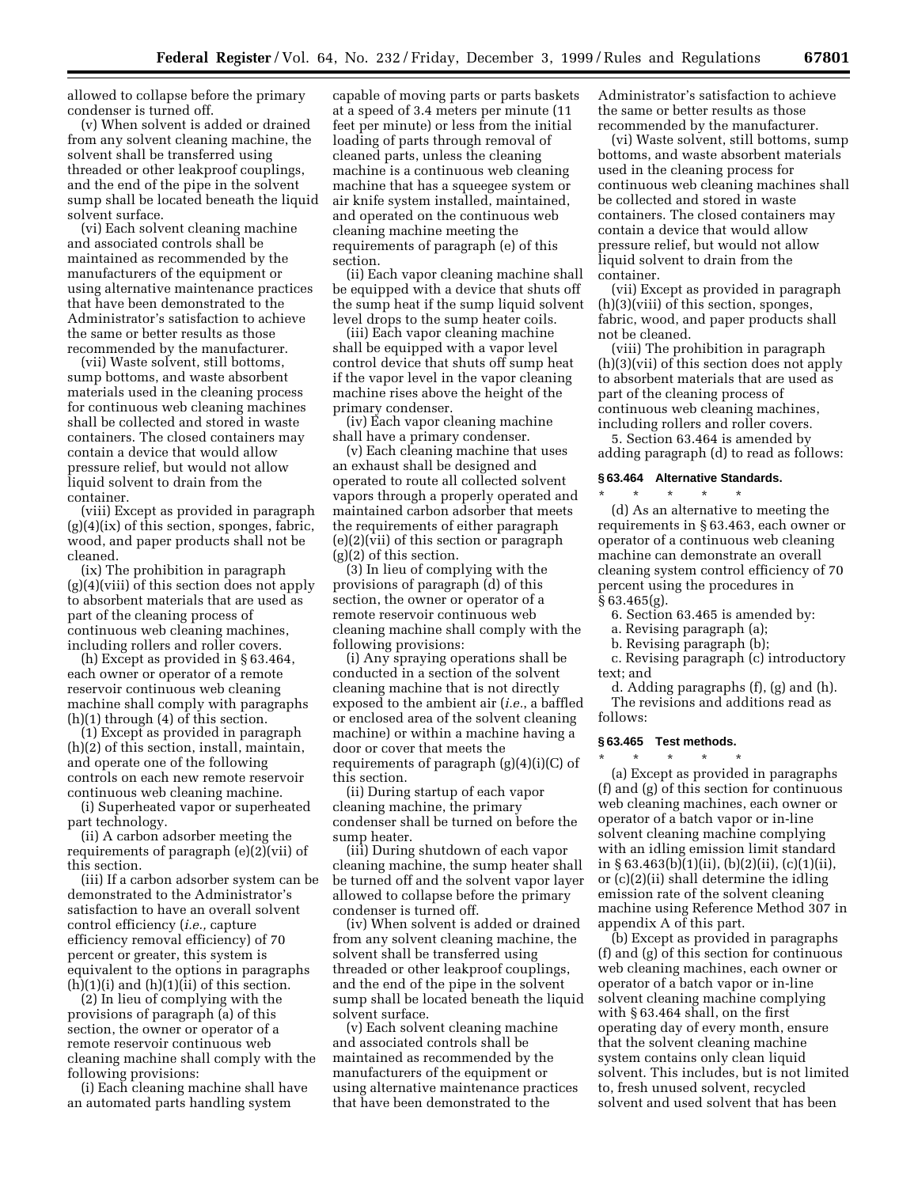allowed to collapse before the primary condenser is turned off.

(v) When solvent is added or drained from any solvent cleaning machine, the solvent shall be transferred using threaded or other leakproof couplings, and the end of the pipe in the solvent sump shall be located beneath the liquid solvent surface.

(vi) Each solvent cleaning machine and associated controls shall be maintained as recommended by the manufacturers of the equipment or using alternative maintenance practices that have been demonstrated to the Administrator's satisfaction to achieve the same or better results as those recommended by the manufacturer.

(vii) Waste solvent, still bottoms, sump bottoms, and waste absorbent materials used in the cleaning process for continuous web cleaning machines shall be collected and stored in waste containers. The closed containers may contain a device that would allow pressure relief, but would not allow liquid solvent to drain from the container.

(viii) Except as provided in paragraph  $(g)(4)(ix)$  of this section, sponges, fabric, wood, and paper products shall not be cleaned.

(ix) The prohibition in paragraph (g)(4)(viii) of this section does not apply to absorbent materials that are used as part of the cleaning process of continuous web cleaning machines, including rollers and roller covers.

(h) Except as provided in § 63.464, each owner or operator of a remote reservoir continuous web cleaning machine shall comply with paragraphs (h)(1) through (4) of this section.

(1) Except as provided in paragraph (h)(2) of this section, install, maintain, and operate one of the following controls on each new remote reservoir continuous web cleaning machine.

(i) Superheated vapor or superheated part technology.

(ii) A carbon adsorber meeting the requirements of paragraph (e)(2)(vii) of this section.

(iii) If a carbon adsorber system can be demonstrated to the Administrator's satisfaction to have an overall solvent control efficiency (*i.e.,* capture efficiency removal efficiency) of 70 percent or greater, this system is equivalent to the options in paragraphs  $(h)(1)(i)$  and  $(h)(1)(ii)$  of this section.

(2) In lieu of complying with the provisions of paragraph (a) of this section, the owner or operator of a remote reservoir continuous web cleaning machine shall comply with the following provisions:

(i) Each cleaning machine shall have an automated parts handling system

capable of moving parts or parts baskets at a speed of 3.4 meters per minute (11 feet per minute) or less from the initial loading of parts through removal of cleaned parts, unless the cleaning machine is a continuous web cleaning machine that has a squeegee system or air knife system installed, maintained, and operated on the continuous web cleaning machine meeting the requirements of paragraph (e) of this section.

(ii) Each vapor cleaning machine shall be equipped with a device that shuts off the sump heat if the sump liquid solvent level drops to the sump heater coils.

(iii) Each vapor cleaning machine shall be equipped with a vapor level control device that shuts off sump heat if the vapor level in the vapor cleaning machine rises above the height of the primary condenser.

(iv) Each vapor cleaning machine shall have a primary condenser.

(v) Each cleaning machine that uses an exhaust shall be designed and operated to route all collected solvent vapors through a properly operated and maintained carbon adsorber that meets the requirements of either paragraph (e)(2)(vii) of this section or paragraph (g)(2) of this section.

(3) In lieu of complying with the provisions of paragraph (d) of this section, the owner or operator of a remote reservoir continuous web cleaning machine shall comply with the following provisions:

(i) Any spraying operations shall be conducted in a section of the solvent cleaning machine that is not directly exposed to the ambient air (*i.e.*, a baffled or enclosed area of the solvent cleaning machine) or within a machine having a door or cover that meets the requirements of paragraph  $(g)(4)(i)(C)$  of this section.

(ii) During startup of each vapor cleaning machine, the primary condenser shall be turned on before the sump heater.

(iii) During shutdown of each vapor cleaning machine, the sump heater shall be turned off and the solvent vapor layer allowed to collapse before the primary condenser is turned off.

(iv) When solvent is added or drained from any solvent cleaning machine, the solvent shall be transferred using threaded or other leakproof couplings, and the end of the pipe in the solvent sump shall be located beneath the liquid solvent surface.

(v) Each solvent cleaning machine and associated controls shall be maintained as recommended by the manufacturers of the equipment or using alternative maintenance practices that have been demonstrated to the

Administrator's satisfaction to achieve the same or better results as those recommended by the manufacturer.

(vi) Waste solvent, still bottoms, sump bottoms, and waste absorbent materials used in the cleaning process for continuous web cleaning machines shall be collected and stored in waste containers. The closed containers may contain a device that would allow pressure relief, but would not allow liquid solvent to drain from the container.

(vii) Except as provided in paragraph (h)(3)(viii) of this section, sponges, fabric, wood, and paper products shall not be cleaned.

(viii) The prohibition in paragraph (h)(3)(vii) of this section does not apply to absorbent materials that are used as part of the cleaning process of continuous web cleaning machines, including rollers and roller covers.

5. Section 63.464 is amended by adding paragraph (d) to read as follows:

#### **§ 63.464 Alternative Standards.**

\* \* \* \* \* (d) As an alternative to meeting the requirements in § 63.463, each owner or operator of a continuous web cleaning machine can demonstrate an overall cleaning system control efficiency of 70 percent using the procedures in § 63.465(g).

6. Section 63.465 is amended by:

a. Revising paragraph (a);

b. Revising paragraph (b);

c. Revising paragraph (c) introductory text; and

d. Adding paragraphs (f), (g) and (h). The revisions and additions read as follows:

# **§ 63.465 Test methods.**

\* \* \* \* \*

(a) Except as provided in paragraphs (f) and (g) of this section for continuous web cleaning machines, each owner or operator of a batch vapor or in-line solvent cleaning machine complying with an idling emission limit standard in § 63.463(b)(1)(ii), (b)(2)(ii), (c)(1)(ii), or (c)(2)(ii) shall determine the idling emission rate of the solvent cleaning machine using Reference Method 307 in appendix A of this part.

(b) Except as provided in paragraphs (f) and (g) of this section for continuous web cleaning machines, each owner or operator of a batch vapor or in-line solvent cleaning machine complying with § 63.464 shall, on the first operating day of every month, ensure that the solvent cleaning machine system contains only clean liquid solvent. This includes, but is not limited to, fresh unused solvent, recycled solvent and used solvent that has been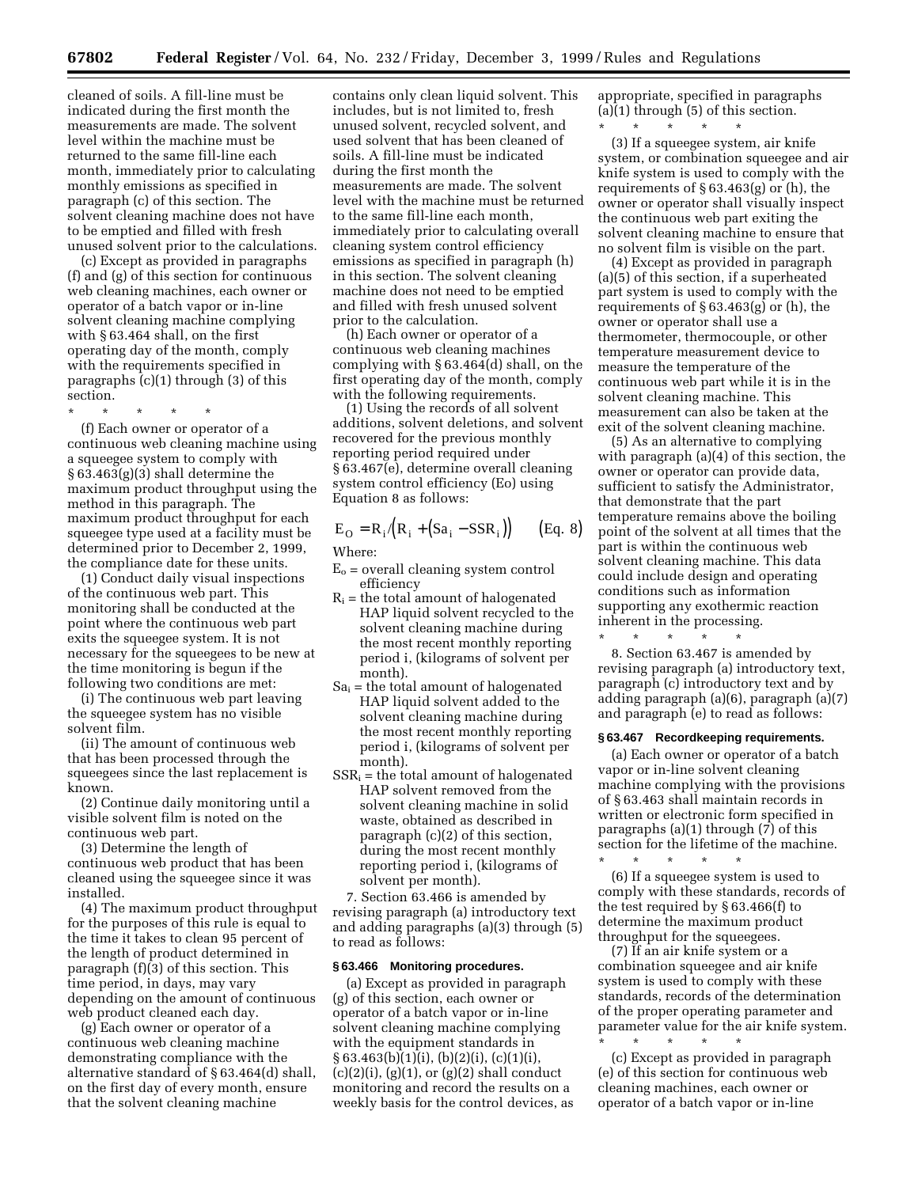cleaned of soils. A fill-line must be indicated during the first month the measurements are made. The solvent level within the machine must be returned to the same fill-line each month, immediately prior to calculating monthly emissions as specified in paragraph (c) of this section. The solvent cleaning machine does not have to be emptied and filled with fresh unused solvent prior to the calculations.

(c) Except as provided in paragraphs (f) and (g) of this section for continuous web cleaning machines, each owner or operator of a batch vapor or in-line solvent cleaning machine complying with § 63.464 shall, on the first operating day of the month, comply with the requirements specified in paragraphs (c)(1) through (3) of this section.

\* \* \* \* \*

(f) Each owner or operator of a continuous web cleaning machine using a squeegee system to comply with § 63.463(g)(3) shall determine the maximum product throughput using the method in this paragraph. The maximum product throughput for each squeegee type used at a facility must be determined prior to December 2, 1999, the compliance date for these units.

(1) Conduct daily visual inspections of the continuous web part. This monitoring shall be conducted at the point where the continuous web part exits the squeegee system. It is not necessary for the squeegees to be new at the time monitoring is begun if the following two conditions are met:

(i) The continuous web part leaving the squeegee system has no visible solvent film.

(ii) The amount of continuous web that has been processed through the squeegees since the last replacement is known.

(2) Continue daily monitoring until a visible solvent film is noted on the continuous web part.

(3) Determine the length of continuous web product that has been cleaned using the squeegee since it was installed.

(4) The maximum product throughput for the purposes of this rule is equal to the time it takes to clean 95 percent of the length of product determined in paragraph (f)(3) of this section. This time period, in days, may vary depending on the amount of continuous web product cleaned each day.

(g) Each owner or operator of a continuous web cleaning machine demonstrating compliance with the alternative standard of § 63.464(d) shall, on the first day of every month, ensure that the solvent cleaning machine

contains only clean liquid solvent. This includes, but is not limited to, fresh unused solvent, recycled solvent, and used solvent that has been cleaned of soils. A fill-line must be indicated during the first month the measurements are made. The solvent level with the machine must be returned to the same fill-line each month, immediately prior to calculating overall cleaning system control efficiency emissions as specified in paragraph (h) in this section. The solvent cleaning machine does not need to be emptied and filled with fresh unused solvent prior to the calculation.

(h) Each owner or operator of a continuous web cleaning machines complying with § 63.464(d) shall, on the first operating day of the month, comply with the following requirements.

(1) Using the records of all solvent additions, solvent deletions, and solvent recovered for the previous monthly reporting period required under § 63.467(e), determine overall cleaning system control efficiency (Eo) using Equation 8 as follows:

$$
E_O = R_i / (R_i + (Sa_i - SSR_i))
$$
 (Eq. 8)

Where:

- $E<sub>o</sub>$  = overall cleaning system control efficiency
- $R_i$  = the total amount of halogenated HAP liquid solvent recycled to the solvent cleaning machine during the most recent monthly reporting period i, (kilograms of solvent per month).
- $Sa_i$  = the total amount of halogenated HAP liquid solvent added to the solvent cleaning machine during the most recent monthly reporting period i, (kilograms of solvent per month).
- $SSR_i$  = the total amount of halogenated HAP solvent removed from the solvent cleaning machine in solid waste, obtained as described in paragraph (c)(2) of this section, during the most recent monthly reporting period i, (kilograms of solvent per month).

7. Section 63.466 is amended by revising paragraph (a) introductory text and adding paragraphs (a)(3) through (5) to read as follows:

#### **§ 63.466 Monitoring procedures.**

(a) Except as provided in paragraph (g) of this section, each owner or operator of a batch vapor or in-line solvent cleaning machine complying with the equipment standards in § 63.463(b)(1)(i), (b)(2)(i), (c)(1)(i),  $(c)(2)(i)$ ,  $(g)(1)$ , or  $(g)(2)$  shall conduct monitoring and record the results on a weekly basis for the control devices, as appropriate, specified in paragraphs (a)(1) through (5) of this section. \* \* \* \* \*

(3) If a squeegee system, air knife system, or combination squeegee and air knife system is used to comply with the requirements of  $\S 63.463(g)$  or (h), the owner or operator shall visually inspect the continuous web part exiting the solvent cleaning machine to ensure that no solvent film is visible on the part.

(4) Except as provided in paragraph (a)(5) of this section, if a superheated part system is used to comply with the requirements of § 63.463(g) or (h), the owner or operator shall use a thermometer, thermocouple, or other temperature measurement device to measure the temperature of the continuous web part while it is in the solvent cleaning machine. This measurement can also be taken at the exit of the solvent cleaning machine.

(5) As an alternative to complying with paragraph (a)(4) of this section, the owner or operator can provide data, sufficient to satisfy the Administrator, that demonstrate that the part temperature remains above the boiling point of the solvent at all times that the part is within the continuous web solvent cleaning machine. This data could include design and operating conditions such as information supporting any exothermic reaction inherent in the processing.

\* \* \* \* \* 8. Section 63.467 is amended by revising paragraph (a) introductory text, paragraph (c) introductory text and by adding paragraph (a)(6), paragraph (a)(7) and paragraph (e) to read as follows:

# **§ 63.467 Recordkeeping requirements.**

(a) Each owner or operator of a batch vapor or in-line solvent cleaning machine complying with the provisions of § 63.463 shall maintain records in written or electronic form specified in paragraphs (a)(1) through (7) of this section for the lifetime of the machine.

(6) If a squeegee system is used to comply with these standards, records of the test required by § 63.466(f) to determine the maximum product throughput for the squeegees.

\* \* \* \* \*

(7) If an air knife system or a combination squeegee and air knife system is used to comply with these standards, records of the determination of the proper operating parameter and parameter value for the air knife system. \* \* \* \* \*

(c) Except as provided in paragraph (e) of this section for continuous web cleaning machines, each owner or operator of a batch vapor or in-line